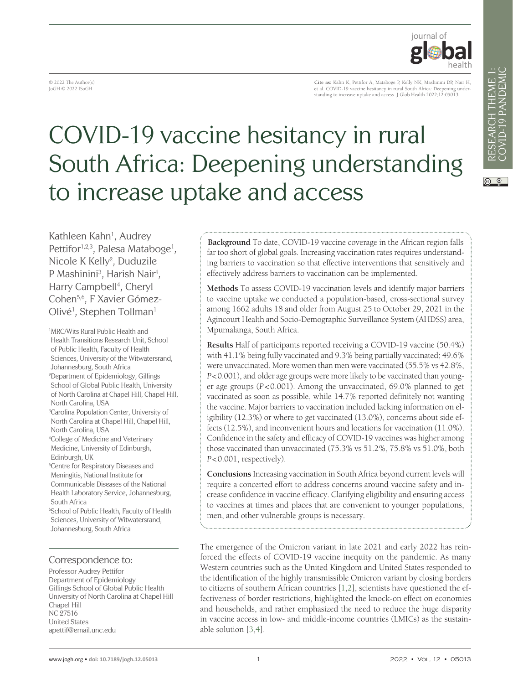

© 2022 The Author(s) JoGH © 2022 ISoGH

**Cite as:** Kahn K, Pettifor A, Mataboge P, Kelly NK, Mashinini DP, Nair H, et al. COVID-19 vaccine hesitancy in rural South Africa: Deepening understanding to increase uptake and access. J Glob Health 2022;12:05013.

# COVID-19 vaccine hesitancy in rural South Africa: Deepening understanding to increase uptake and access

Kathleen Kahn<sup>1</sup>, Audrey Pettifor<sup>1,2,3</sup>, Palesa Mataboge<sup>1</sup>, Nicole K Kelly<sup>2</sup>, Duduzile P Mashinini<sup>3</sup>, Harish Nair<sup>4</sup>, Harry Campbell<sup>4</sup>, Cheryl Cohen5,6, F Xavier Gómez-Olivé<sup>1</sup>, Stephen Tollman<sup>1</sup>

1 MRC/Wits Rural Public Health and Health Transitions Research Unit, School of Public Health, Faculty of Health Sciences, University of the Witwatersrand, Johannesburg, South Africa 2 Department of Epidemiology, Gillings School of Global Public Health, University of North Carolina at Chapel Hill, Chapel Hill, North Carolina, USA 3 Carolina Population Center, University of North Carolina at Chapel Hill, Chapel Hill, North Carolina, USA 4 College of Medicine and Veterinary Medicine, University of Edinburgh, Edinburgh, UK 5 Centre for Respiratory Diseases and Meningitis, National Institute for Communicable Diseases of the National Health Laboratory Service, Johannesburg, South Africa 6 School of Public Health, Faculty of Health Sciences, University of Witwatersrand, Johannesburg, South Africa

#### Correspondence to:

Professor Audrey Pettifor Department of Epidemiology Gillings School of Global Public Health University of North Carolina at Chapel Hill Chapel Hill NC 27516 United States apettif@email.unc.edu

**Background** To date, COVID-19 vaccine coverage in the African region falls far too short of global goals. Increasing vaccination rates requires understanding barriers to vaccination so that effective interventions that sensitively and effectively address barriers to vaccination can be implemented.

**Methods** To assess COVID-19 vaccination levels and identify major barriers to vaccine uptake we conducted a population-based, cross-sectional survey among 1662 adults 18 and older from August 25 to October 29, 2021 in the Agincourt Health and Socio-Demographic Surveillance System (AHDSS) area, Mpumalanga, South Africa.

**Results** Half of participants reported receiving a COVID-19 vaccine (50.4%) with 41.1% being fully vaccinated and 9.3% being partially vaccinated; 49.6% were unvaccinated. More women than men were vaccinated (55.5% vs 42.8%, *P*<0.001), and older age groups were more likely to be vaccinated than younger age groups (*P*<0.001). Among the unvaccinated, 69.0% planned to get vaccinated as soon as possible, while 14.7% reported definitely not wanting the vaccine. Major barriers to vaccination included lacking information on eligibility (12.3%) or where to get vaccinated (13.0%), concerns about side effects (12.5%), and inconvenient hours and locations for vaccination (11.0%). Confidence in the safety and efficacy of COVID-19 vaccines was higher among those vaccinated than unvaccinated (75.3% vs 51.2%, 75.8% vs 51.0%, both *P*<0.001, respectively).

**Conclusions** Increasing vaccination in South Africa beyond current levels will require a concerted effort to address concerns around vaccine safety and increase confidence in vaccine efficacy. Clarifying eligibility and ensuring access to vaccines at times and places that are convenient to younger populations, men, and other vulnerable groups is necessary.

The emergence of the Omicron variant in late 2021 and early 2022 has reinforced the effects of COVID-19 vaccine inequity on the pandemic. As many Western countries such as the United Kingdom and United States responded to the identification of the highly transmissible Omicron variant by closing borders to citizens of southern African countries [[1](#page-5-0),[2\]](#page-5-1), scientists have questioned the effectiveness of border restrictions, highlighted the knock-on effect on economies and households, and rather emphasized the need to reduce the huge disparity in vaccine access in low- and middle-income countries (LMICs) as the sustainable solution [\[3](#page-5-2),[4\]](#page-5-3).

 $\circledcirc$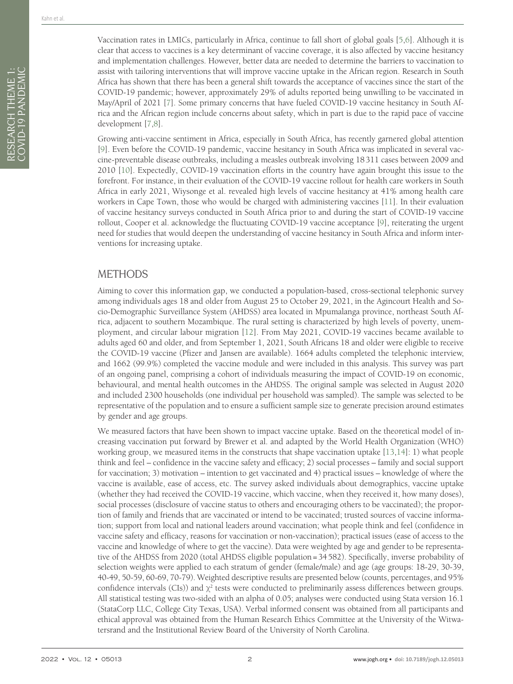Vaccination rates in LMICs, particularly in Africa, continue to fall short of global goals [[5](#page-5-4),[6\]](#page-5-5). Although it is clear that access to vaccines is a key determinant of vaccine coverage, it is also affected by vaccine hesitancy and implementation challenges. However, better data are needed to determine the barriers to vaccination to assist with tailoring interventions that will improve vaccine uptake in the African region. Research in South Africa has shown that there has been a general shift towards the acceptance of vaccines since the start of the COVID-19 pandemic; however, approximately 29% of adults reported being unwilling to be vaccinated in May/April of 2021 [\[7](#page-5-6)]. Some primary concerns that have fueled COVID-19 vaccine hesitancy in South Africa and the African region include concerns about safety, which in part is due to the rapid pace of vaccine development [[7](#page-5-6)[,8\]](#page-5-7).

Growing anti-vaccine sentiment in Africa, especially in South Africa, has recently garnered global attention [[9\]](#page-5-8). Even before the COVID-19 pandemic, vaccine hesitancy in South Africa was implicated in several vaccine-preventable disease outbreaks, including a measles outbreak involving 18311 cases between 2009 and 2010 [[10\]](#page-6-0). Expectedly, COVID-19 vaccination efforts in the country have again brought this issue to the forefront. For instance, in their evaluation of the COVID-19 vaccine rollout for health care workers in South Africa in early 2021, Wiysonge et al. revealed high levels of vaccine hesitancy at 41% among health care workers in Cape Town, those who would be charged with administering vaccines [\[11](#page-6-1)]. In their evaluation of vaccine hesitancy surveys conducted in South Africa prior to and during the start of COVID-19 vaccine rollout, Cooper et al. acknowledge the fluctuating COVID-19 vaccine acceptance [\[9](#page-5-8)], reiterating the urgent need for studies that would deepen the understanding of vaccine hesitancy in South Africa and inform interventions for increasing uptake.

### METHODS

Aiming to cover this information gap, we conducted a population-based, cross-sectional telephonic survey among individuals ages 18 and older from August 25 to October 29, 2021, in the Agincourt Health and Socio-Demographic Surveillance System (AHDSS) area located in Mpumalanga province, northeast South Africa, adjacent to southern Mozambique. The rural setting is characterized by high levels of poverty, unemployment, and circular labour migration [[12\]](#page-6-2). From May 2021, COVID-19 vaccines became available to adults aged 60 and older, and from September 1, 2021, South Africans 18 and older were eligible to receive the COVID-19 vaccine (Pfizer and Jansen are available). 1664 adults completed the telephonic interview, and 1662 (99.9%) completed the vaccine module and were included in this analysis. This survey was part of an ongoing panel, comprising a cohort of individuals measuring the impact of COVID-19 on economic, behavioural, and mental health outcomes in the AHDSS. The original sample was selected in August 2020 and included 2300 households (one individual per household was sampled). The sample was selected to be representative of the population and to ensure a sufficient sample size to generate precision around estimates by gender and age groups.

We measured factors that have been shown to impact vaccine uptake. Based on the theoretical model of increasing vaccination put forward by Brewer et al. and adapted by the World Health Organization (WHO) working group, we measured items in the constructs that shape vaccination uptake [[13,](#page-6-3)[14\]](#page-6-4): 1) what people think and feel – confidence in the vaccine safety and efficacy; 2) social processes – family and social support for vaccination; 3) motivation – intention to get vaccinated and 4) practical issues – knowledge of where the vaccine is available, ease of access, etc. The survey asked individuals about demographics, vaccine uptake (whether they had received the COVID-19 vaccine, which vaccine, when they received it, how many doses), social processes (disclosure of vaccine status to others and encouraging others to be vaccinated); the proportion of family and friends that are vaccinated or intend to be vaccinated; trusted sources of vaccine information; support from local and national leaders around vaccination; what people think and feel (confidence in vaccine safety and efficacy, reasons for vaccination or non-vaccination); practical issues (ease of access to the vaccine and knowledge of where to get the vaccine). Data were weighted by age and gender to be representative of the AHDSS from 2020 (total AHDSS eligible population=34582). Specifically, inverse probability of selection weights were applied to each stratum of gender (female/male) and age (age groups: 18-29, 30-39, 40-49, 50-59, 60-69, 70-79). Weighted descriptive results are presented below (counts, percentages, and 95% confidence intervals (CIs)) and  $\chi^2$  tests were conducted to preliminarily assess differences between groups. All statistical testing was two-sided with an alpha of 0.05; analyses were conducted using Stata version 16.1 (StataCorp LLC, College City Texas, USA). Verbal informed consent was obtained from all participants and ethical approval was obtained from the Human Research Ethics Committee at the University of the Witwatersrand and the Institutional Review Board of the University of North Carolina.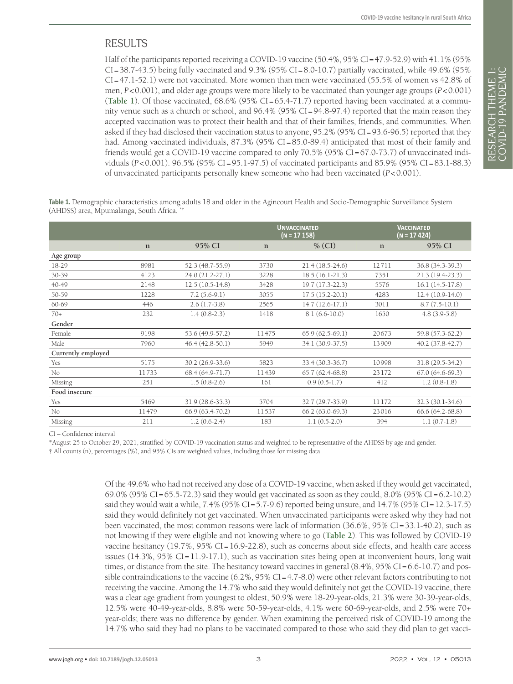# RESULTS

Half of the participants reported receiving a COVID-19 vaccine (50.4%, 95% CI=47.9-52.9) with 41.1% (95%  $CI = 38.7-43.5$ ) being fully vaccinated and 9.3% (95%  $CI = 8.0-10.7$ ) partially vaccinated, while 49.6% (95% CI=47.1-52.1) were not vaccinated. More women than men were vaccinated (55.5% of women vs 42.8% of men, *P*<0.001), and older age groups were more likely to be vaccinated than younger age groups (*P*<0.001) (**[Table 1](#page-2-0)**). Of those vaccinated, 68.6% (95% CI=65.4-71.7) reported having been vaccinated at a community venue such as a church or school, and 96.4% (95% CI=94.8-97.4) reported that the main reason they accepted vaccination was to protect their health and that of their families, friends, and communities. When asked if they had disclosed their vaccination status to anyone, 95.2% (95% CI=93.6-96.5) reported that they had. Among vaccinated individuals, 87.3% (95% CI=85.0-89.4) anticipated that most of their family and friends would get a COVID-19 vaccine compared to only  $70.5\%$  (95% CI=67.0-73.7) of unvaccinated individuals (*P*<0.001). 96.5% (95% CI=95.1-97.5) of vaccinated participants and 85.9% (95% CI=83.1-88.3) of unvaccinated participants personally knew someone who had been vaccinated (*P*<0.001).

<span id="page-2-0"></span>**Table 1.** Demographic characteristics among adults 18 and older in the Agincourt Health and Socio-Demographic Surveillance System (AHDSS) area, Mpumalanga, South Africa. \*†

|                    |             |                   |             | <b>UNVACCINATED</b><br>$(N = 17158)$ | <b>VACCINATED</b><br>$(N = 17424)$ |                   |
|--------------------|-------------|-------------------|-------------|--------------------------------------|------------------------------------|-------------------|
|                    | $\mathbf n$ | 95% CI            | $\mathbf n$ | $\%$ (CI)                            | $\mathbf n$                        | 95% CI            |
| Age group          |             |                   |             |                                      |                                    |                   |
| 18-29              | 8981        | 52.3 (48.7-55.9)  | 3730        | $21.4(18.5-24.6)$                    | 12711                              | 36.8 (34.3-39.3)  |
| 30-39              | 4123        | 24.0 (21.2-27.1)  | 3228        | 18.5 (16.1-21.3)                     | 7351                               | 21.3 (19.4-23.3)  |
| 40-49              | 2148        | $12.5(10.5-14.8)$ | 3428        | 19.7 (17.3-22.3)                     | 5576                               | $16.1(14.5-17.8)$ |
| 50-59              | 1228        | $7.2(5.6-9.1)$    | 3055        | $17.5(15.2-20.1)$                    | 4283                               | $12.4(10.9-14.0)$ |
| 60-69              | 446         | $2.6(1.7-3.8)$    | 2565        | $14.7(12.6-17.1)$                    | 3011                               | $8.7(7.5-10.1)$   |
| $70+$              | 232         | $1.4(0.8-2.3)$    | 1418        | $8.1(6.6-10.0)$                      | 1650                               | $4.8(3.9-5.8)$    |
| Gender             |             |                   |             |                                      |                                    |                   |
| Female             | 9198        | 53.6 (49.9-57.2)  | 11475       | $65.9(62.5-69.1)$                    | 20673                              | 59.8 (57.3-62.2)  |
| Male               | 7960        | $46.4(42.8-50.1)$ | 5949        | 34.1 (30.9-37.5)                     | 13909                              | $40.2(37.8-42.7)$ |
| Currently employed |             |                   |             |                                      |                                    |                   |
| Yes                | 5175        | 30.2 (26.9-33.6)  | 5823        | 33.4 (30.3-36.7)                     | 10998                              | 31.8 (29.5-34.2)  |
| No                 | 11733       | 68.4 (64.9-71.7)  | 11439       | $65.7(62.4-68.8)$                    | 23172                              | $67.0(64.6-69.3)$ |
| Missing            | 251         | $1.5(0.8-2.6)$    | 161         | $0.9(0.5-1.7)$                       | 412                                | $1.2(0.8-1.8)$    |
| Food insecure      |             |                   |             |                                      |                                    |                   |
| Yes                | 5469        | 31.9 (28.6-35.3)  | 5704        | 32.7 (29.7-35.9)                     | 11172                              | 32.3 (30.1-34.6)  |
| No                 | 11479       | 66.9 (63.4-70.2)  | 11537       | 66.2 (63.0-69.3)                     | 23016                              | 66.6 (64.2-68.8)  |
| Missing            | 211         | $1.2(0.6-2.4)$    | 183         | $1.1(0.5-2.0)$                       | 394                                | $1.1(0.7-1.8)$    |

CI – Confidence interval

\*August 25 to October 29, 2021, stratified by COVID-19 vaccination status and weighted to be representative of the AHDSS by age and gender.

† All counts (n), percentages (%), and 95% CIs are weighted values, including those for missing data.

Of the 49.6% who had not received any dose of a COVID-19 vaccine, when asked if they would get vaccinated, 69.0% (95% CI=65.5-72.3) said they would get vaccinated as soon as they could, 8.0% (95% CI=6.2-10.2) said they would wait a while, 7.4% (95% CI=5.7-9.6) reported being unsure, and 14.7% (95% CI=12.3-17.5) said they would definitely not get vaccinated. When unvaccinated participants were asked why they had not been vaccinated, the most common reasons were lack of information (36.6%, 95% CI=33.1-40.2), such as not knowing if they were eligible and not knowing where to go (**[Table 2](#page-3-0)**). This was followed by COVID-19 vaccine hesitancy (19.7%, 95% CI=16.9-22.8), such as concerns about side effects, and health care access issues (14.3%, 95% CI=11.9-17.1), such as vaccination sites being open at inconvenient hours, long wait times, or distance from the site. The hesitancy toward vaccines in general (8.4%, 95% CI=6.6-10.7) and possible contraindications to the vaccine (6.2%, 95% CI=4.7-8.0) were other relevant factors contributing to not receiving the vaccine. Among the 14.7% who said they would definitely not get the COVID-19 vaccine, there was a clear age gradient from youngest to oldest, 50.9% were 18-29-year-olds, 21.3% were 30-39-year-olds, 12.5% were 40-49-year-olds, 8.8% were 50-59-year-olds, 4.1% were 60-69-year-olds, and 2.5% were 70+ year-olds; there was no difference by gender. When examining the perceived risk of COVID-19 among the 14.7% who said they had no plans to be vaccinated compared to those who said they did plan to get vacci-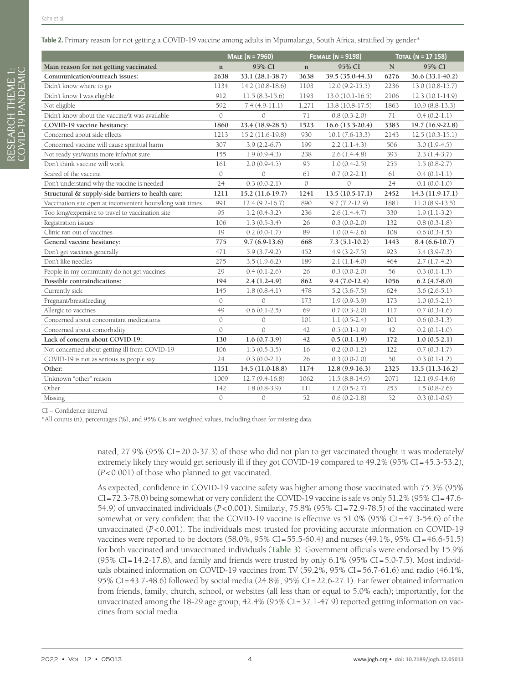<span id="page-3-0"></span>

|                                                             | <b>MALE</b> (N = 7960) |                   | <b>FEMALE (N = 9198)</b> |                   | TOTAL (N = 17 158) |                   |
|-------------------------------------------------------------|------------------------|-------------------|--------------------------|-------------------|--------------------|-------------------|
| Main reason for not getting vaccinated                      | $\mathbf{n}$           | 95% CI            | $\mathbf{n}$             | 95% CI            | ${\bf N}$          | 95% CI            |
| Communication/outreach issues:                              | 2638                   | 33.1 (28.1-38.7)  | 3638                     | 39.5 (35.0-44.3)  | 6276               | 36.6 (33.1-40.2)  |
| Didn't know where to go                                     | 1134                   | $14.2(10.8-18.6)$ | 1103                     | $12.0(9.2-15.5)$  | 2236               | $13.0(10.8-15.7)$ |
| Didn't know I was eligible                                  | 912                    | $11.5(8.3-15.6)$  | 1193                     | $13.0(10.1-16.5)$ | 2106               | $12.3(10.1-14.9)$ |
| Not eligible                                                | 592                    | $7.4(4.9-11.1)$   | 1,271                    | 13.8 (10.8-17.5)  | 1863               | $10.9(8.8-13.3)$  |
| Didn't know about the vaccine/it was available              | $\mathcal{O}$          | $\Omega$          | 71                       | $0.8(0.3-2.0)$    | 71                 | $0.4(0.2-1.1)$    |
| COVID-19 vaccine hesitancy:                                 | 1860                   | 23.4 (18.9-28.5)  | 1523                     | $16.6(13.3-20.4)$ | 3383               | 19.7 (16.9-22.8)  |
| Concerned about side effects                                | 1213                   | 15.2 (11.6-19.8)  | 930                      | $10.1(7.6-13.3)$  | 2143               | $12.5(10.3-15.1)$ |
| Concerned vaccine will cause spiritual harm                 | 307                    | $3.9(2.2-6.7)$    | 199                      | $2.2(1.1-4.3)$    | 506                | $3.0(1.9-4.5)$    |
| Not ready yet/wants more info/not sure                      | 155                    | $1.9(0.9-4.3)$    | 238                      | $2.6(1.4-4.8)$    | 393                | $2.3(1.4-3.7)$    |
| Don't think vaccine will work                               | 161                    | $2.0(0.9-4.5)$    | 95                       | $1.0(0.4-2.5)$    | 255                | $1.5(0.8-2.7)$    |
| Scared of the vaccine                                       | $\mathcal{O}$          | $\Omega$          | 61                       | $0.7(0.2-2.1)$    | 61                 | $0.4(0.1-1.1)$    |
| Don't understand why the vaccine is needed                  | 24                     | $0.3(0.0-2.1)$    | $\mathcal{O}$            | $\mathcal{O}$     | 24                 | $0.1(0.0-1.0)$    |
| Structural & supply-side barriers to health care:           | 1211                   | 15.2 (11.6-19.7)  | 1241                     | $13.5(10.5-17.1)$ | 2452               | $14.3(11.9-17.1)$ |
| Vaccination site open at inconvenient hours/long wait times | 991                    | $12.4(9.2-16.7)$  | 890                      | $9.7(7.2-12.9)$   | 1881               | $11.0(8.9-13.5)$  |
| Too long/expensive to travel to vaccination site            | 95                     | $1.2(0.4-3.2)$    | 236                      | $2.6(1.4-4.7)$    | 330                | $1.9(1.1-3.2)$    |
| Registration issues                                         | 106                    | $1.3(0.5-3.4)$    | 26                       | $0.3(0.0-2.0)$    | 132                | $0.8(0.3-1.8)$    |
| Clinic ran out of vaccines                                  | 19                     | $0.2(0.0-1.7)$    | 89                       | $1.0(0.4-2.6)$    | 108                | $0.6(0.3-1.5)$    |
| General vaccine hesitancy:                                  | 775                    | $9.7(6.9-13.6)$   | 668                      | $7.3(5.1-10.2)$   | 1443               | $8.4(6.6-10.7)$   |
| Don't get vaccines generally                                | 471                    | $5.9(3.7-9.2)$    | 452                      | $4.9(3.2 - 7.5)$  | 923                | $5.4(3.9-7.3)$    |
| Don't like needles                                          | 275                    | $3.5(1.9-6.2)$    | 189                      | $2.1(1.1-4.0)$    | 464                | $2.7(1.7-4.2)$    |
| People in my community do not get vaccines                  | 29                     | $0.4(0.1-2.6)$    | 26                       | $0.3(0.0-2.0)$    | 56                 | $0.3(0.1-1.3)$    |
| Possible contraindications:                                 | 194                    | $2.4(1.2-4.9)$    | 862                      | $9.4(7.0-12.4)$   | 1056               | $6.2(4.7-8.0)$    |
| Currently sick                                              | 145                    | $1.8(0.8-4.1)$    | 478                      | $5.2(3.6-7.5)$    | 624                | $3.6(2.6-5.1)$    |
| Pregnant/breastfeeding                                      | $\theta$               | $\theta$          | 173                      | $1.9(0.9-3.9)$    | 173                | $1.0(0.5-2.1)$    |
| Allergic to vaccines                                        | 49                     | $0.6(0.1-2.5)$    | 69                       | $0.7(0.3-2.0)$    | 117                | $0.7(0.3-1.6)$    |
| Concerned about concomitant medications                     | $\mathcal{O}$          | $\mathcal{O}$     | 101                      | $1.1(0.5-2.4)$    | 101                | $0.6(0.3-1.3)$    |
| Concerned about comorbidity                                 | $\mathcal{O}$          | $\theta$          | 42                       | $0.5(0.1-1.9)$    | 42                 | $0.2(0.1-1.0)$    |
| Lack of concern about COVID-19:                             | 130                    | $1.6(0.7-3.9)$    | 42                       | $0.5(0.1-1.9)$    | 172                | $1.0(0.5-2.1)$    |
| Not concerned about getting ill from COVID-19               | 106                    | $1.3(0.5-3.5)$    | 16                       | $0.2(0.0-1.2)$    | 122                | $0.7(0.3-1.7)$    |
| COVID-19 is not as serious as people say                    | 24                     | $0.3(0.0-2.1)$    | 26                       | $0.3(0.0-2.0)$    | 50                 | $0.3(0.1-1.2)$    |
| Other:                                                      | 1151                   | 14.5 (11.0-18.8)  | 1174                     | $12.8(9.9-16.3)$  | 2325               | $13.5(11.3-16.2)$ |
| Unknown "other" reason                                      | 1009                   | $12.7(9.4-16.8)$  | 1062                     | $11.5(8.8-14.9)$  | 2071               | $12.1(9.9-14.6)$  |
| Other                                                       | 142                    | $1.8(0.8-3.9)$    | 111                      | $1.2(0.5-2.7)$    | 253                | $1.5(0.8-2.6)$    |
| Missing                                                     | $\mathcal{O}$          | $\mathcal{O}$     | 52                       | $0.6(0.2-1.8)$    | 52                 | $0.3(0.1-0.9)$    |

CI – Confidence interval

\*All counts (n), percentages (%), and 95% CIs are weighted values, including those for missing data.

nated, 27.9% (95% CI=20.0-37.3) of those who did not plan to get vaccinated thought it was moderately/ extremely likely they would get seriously ill if they got COVID-19 compared to 49.2% (95% CI=45.3-53.2), (*P*<0.001) of those who planned to get vaccinated.

As expected, confidence in COVID-19 vaccine safety was higher among those vaccinated with 75.3% (95% CI=72.3-78.0) being somewhat or very confident the COVID-19 vaccine is safe vs only 51.2% (95% CI=47.6- 54.9) of unvaccinated individuals (*P*<0.001). Similarly, 75.8% (95% CI=72.9-78.5) of the vaccinated were somewhat or very confident that the COVID-19 vaccine is effective vs 51.0% (95% CI=47.3-54.6) of the unvaccinated (*P*<0.001). The individuals most trusted for providing accurate information on COVID-19 vaccines were reported to be doctors (58.0%, 95% CI=55.5-60.4) and nurses (49.1%, 95% CI=46.6-51.5) for both vaccinated and unvaccinated individuals (**[Table 3](#page-4-0)**). Government officials were endorsed by 15.9% (95% CI=14.2-17.8), and family and friends were trusted by only 6.1% (95% CI=5.0-7.5). Most individuals obtained information on COVID-19 vaccines from TV (59.2%, 95% CI=56.7-61.6) and radio (46.1%, 95% CI=43.7-48.6) followed by social media (24.8%, 95% CI=22.6-27.1). Far fewer obtained information from friends, family, church, school, or websites (all less than or equal to 5.0% each); importantly, for the unvaccinated among the 18-29 age group, 42.4% (95% CI=37.1-47.9) reported getting information on vaccines from social media.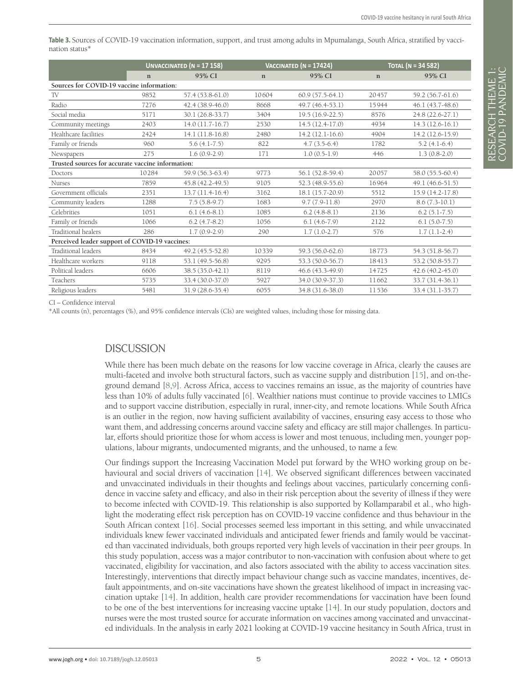<span id="page-4-0"></span>**Table 3.** Sources of COVID-19 vaccination information, support, and trust among adults in Mpumalanga, South Africa, stratified by vaccination status\*

|                                                   | UNVACCINATED ( $N = 17$ 158) |                   |             | VACCINATED ( $N = 17424$ ) | TOTAL (N = 34 582) |                     |  |  |  |
|---------------------------------------------------|------------------------------|-------------------|-------------|----------------------------|--------------------|---------------------|--|--|--|
|                                                   | $\mathbf n$                  | 95% CI            | $\mathbf n$ | 95% CI                     | $\mathbf n$        | 95% CI              |  |  |  |
| Sources for COVID-19 vaccine information:         |                              |                   |             |                            |                    |                     |  |  |  |
| TV                                                | 9852                         | 57.4 (53.8-61.0)  | 10604       | $60.9(57.5-64.1)$          | 20457              | 59.2 (56.7-61.6)    |  |  |  |
| Radio                                             | 7276                         | 42.4 (38.9-46.0)  | 8668        | 49.7 (46.4-53.1)           | 15944              | 46.1 (43.7-48.6)    |  |  |  |
| Social media                                      | 5171                         | 30.1 (26.8-33.7)  | 3404        | $19.5(16.9-22.5)$          | 8576               | 24.8 (22.6-27.1)    |  |  |  |
| Community meetings                                | 2403                         | $14.0(11.7-16.7)$ | 2530        | 14.5 (12.4-17.0)           | 4934               | $14.3(12.6-16.1)$   |  |  |  |
| Healthcare facilities                             | 2424                         | 14.1 (11.8-16.8)  | 2480        | $14.2(12.1-16.6)$          | 4904               | 14.2 (12.6-15.9)    |  |  |  |
| Family or friends                                 | 960                          | $5.6(4.1-7.5)$    | 822         | $4.7(3.5-6.4)$             | 1782               | $5.2(4.1-6.4)$      |  |  |  |
| Newspapers                                        | 275                          | $1.6(0.9-2.9)$    | 171         | $1.0(0.5-1.9)$             | 446                | $1.3(0.8-2.0)$      |  |  |  |
| Trusted sources for accurate vaccine information: |                              |                   |             |                            |                    |                     |  |  |  |
| Doctors                                           | 10284                        | 59.9 (56.3-63.4)  | 9773        | 56.1 (52.8-59.4)           | 20057              | 58.0 (55.5-60.4)    |  |  |  |
| <b>Nurses</b>                                     | 7859                         | 45.8 (42.2-49.5)  | 9105        | 52.3 (48.9-55.6)           | 16964              | 49.1 (46.6-51.5)    |  |  |  |
| Government officials                              | 2351                         | $13.7(11.4-16.4)$ | 3162        | 18.1 (15.7-20.9)           | 5512               | $15.9(14.2-17.8)$   |  |  |  |
| Community leaders                                 | 1288                         | $7.5(5.8-9.7)$    | 1683        | $9.7(7.9-11.8)$            | 2970               | $8.6(7.3-10.1)$     |  |  |  |
| Celebrities                                       | 1051                         | $6.1(4.6-8.1)$    | 1085        | $6.2(4.8-8.1)$             | 2136               | $6.2(5.1-7.5)$      |  |  |  |
| Family or friends                                 | 1066                         | $6.2(4.7-8.2)$    | 1056        | $6.1(4.6-7.9)$             | 2122               | $6.1(5.0-7.5)$      |  |  |  |
| Traditional healers                               | 286                          | $1.7(0.9-2.9)$    | 290         | $1.7(1.0-2.7)$             | 576                | $1.7(1.1-2.4)$      |  |  |  |
| Perceived leader support of COVID-19 vaccines:    |                              |                   |             |                            |                    |                     |  |  |  |
| Traditional leaders                               | 8434                         | 49.2 (45.5-52.8)  | 10339       | 59.3 (56.0-62.6)           | 18773              | 54.3 (51.8-56.7)    |  |  |  |
| Healthcare workers                                | 9118                         | 53.1 (49.5-56.8)  | 9295        | 53.3 (50.0-56.7)           | 18413              | 53.2 (50.8-55.7)    |  |  |  |
| Political leaders                                 | 6606                         | 38.5 (35.0-42.1)  | 8119        | 46.6 (43.3-49.9)           | 14725              | $42.6(40.2 - 45.0)$ |  |  |  |
| Teachers                                          | 5735                         | 33.4 (30.0-37.0)  | 5927        | 34.0 (30.9-37.3)           | 11662              | 33.7 (31.4-36.1)    |  |  |  |
| Religious leaders                                 | 5481                         | 31.9 (28.6-35.4)  | 6055        | 34.8 (31.6-38.0)           | 11536              | 33.4 (31.1-35.7)    |  |  |  |

CI – Confidence interval

\*All counts (n), percentages (%), and 95% confidence intervals (CIs) are weighted values, including those for missing data.

### **DISCUSSION**

While there has been much debate on the reasons for low vaccine coverage in Africa, clearly the causes are multi-faceted and involve both structural factors, such as vaccine supply and distribution [[15\]](#page-6-5), and on-theground demand [\[8](#page-5-7),[9](#page-5-8)]. Across Africa, access to vaccines remains an issue, as the majority of countries have less than 10% of adults fully vaccinated [[6\]](#page-5-5). Wealthier nations must continue to provide vaccines to LMICs and to support vaccine distribution, especially in rural, inner-city, and remote locations. While South Africa is an outlier in the region, now having sufficient availability of vaccines, ensuring easy access to those who want them, and addressing concerns around vaccine safety and efficacy are still major challenges. In particular, efforts should prioritize those for whom access is lower and most tenuous, including men, younger populations, labour migrants, undocumented migrants, and the unhoused, to name a few.

Our findings support the Increasing Vaccination Model put forward by the WHO working group on behavioural and social drivers of vaccination [\[14](#page-6-4)]. We observed significant differences between vaccinated and unvaccinated individuals in their thoughts and feelings about vaccines, particularly concerning confidence in vaccine safety and efficacy, and also in their risk perception about the severity of illness if they were to become infected with COVID-19. This relationship is also supported by Kollamparabil et al., who highlight the moderating effect risk perception has on COVID-19 vaccine confidence and thus behaviour in the South African context [\[16](#page-6-6)]. Social processes seemed less important in this setting, and while unvaccinated individuals knew fewer vaccinated individuals and anticipated fewer friends and family would be vaccinated than vaccinated individuals, both groups reported very high levels of vaccination in their peer groups. In this study population, access was a major contributor to non-vaccination with confusion about where to get vaccinated, eligibility for vaccination, and also factors associated with the ability to access vaccination sites. Interestingly, interventions that directly impact behaviour change such as vaccine mandates, incentives, default appointments, and on-site vaccinations have shown the greatest likelihood of impact in increasing vaccination uptake [\[14\]](#page-6-4). In addition, health care provider recommendations for vaccination have been found to be one of the best interventions for increasing vaccine uptake [\[14](#page-6-4)]. In our study population, doctors and nurses were the most trusted source for accurate information on vaccines among vaccinated and unvaccinated individuals. In the analysis in early 2021 looking at COVID-19 vaccine hesitancy in South Africa, trust in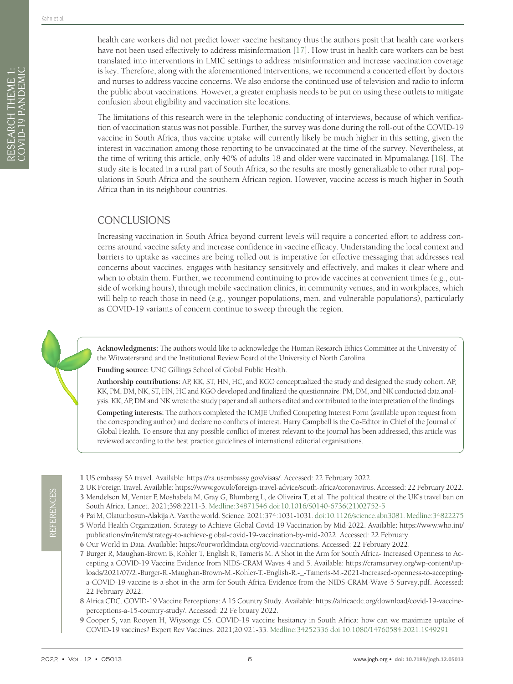RESEARCH THEME 1: COVID-19 PANDEMIC

RESEARCH THEME 1:<br>COVID-19 PANDEMIC

The limitations of this research were in the telephonic conducting of interviews, because of which verification of vaccination status was not possible. Further, the survey was done during the roll-out of the COVID-19 vaccine in South Africa, thus vaccine uptake will currently likely be much higher in this setting, given the interest in vaccination among those reporting to be unvaccinated at the time of the survey. Nevertheless, at the time of writing this article, only 40% of adults 18 and older were vaccinated in Mpumalanga [\[18\]](#page-6-8). The study site is located in a rural part of South Africa, so the results are mostly generalizable to other rural populations in South Africa and the southern African region. However, vaccine access is much higher in South Africa than in its neighbour countries.

## CONCLUSIONS

Increasing vaccination in South Africa beyond current levels will require a concerted effort to address concerns around vaccine safety and increase confidence in vaccine efficacy. Understanding the local context and barriers to uptake as vaccines are being rolled out is imperative for effective messaging that addresses real concerns about vaccines, engages with hesitancy sensitively and effectively, and makes it clear where and when to obtain them. Further, we recommend continuing to provide vaccines at convenient times (e.g., outside of working hours), through mobile vaccination clinics, in community venues, and in workplaces, which will help to reach those in need (e.g., younger populations, men, and vulnerable populations), particularly as COVID-19 variants of concern continue to sweep through the region.

**Acknowledgments:** The authors would like to acknowledge the Human Research Ethics Committee at the University of the Witwatersrand and the Institutional Review Board of the University of North Carolina.

**Funding source:** UNC Gillings School of Global Public Health.

**Authorship contributions:** AP, KK, ST, HN, HC, and KGO conceptualized the study and designed the study cohort. AP, KK, PM, DM, NK, ST, HN, HC and KGO developed and finalized the questionnaire. PM, DM, and NK conducted data analysis. KK, AP, DM and NK wrote the study paper and all authors edited and contributed to the interpretation of the findings.

**Competing interests:** The authors completed the ICMJE Unified Competing Interest Form (available upon request from the corresponding author) and declare no conflicts of interest. Harry Campbell is the Co-Editor in Chief of the Journal of Global Health. To ensure that any possible conflict of interest relevant to the journal has been addressed, this article was reviewed according to the best practice guidelines of international editorial organisations.

- <span id="page-5-0"></span>1 US embassy SA travel. Available:<https://za.usembassy.gov/visas/>. Accessed: 22 February 2022.
- <span id="page-5-1"></span>2 UK Foreign Travel. Available: [https://www.gov.uk/foreign-travel-advice/south-africa/coronavirus.](https://www.gov.uk/foreign-travel-advice/south-africa/coronavirus) Accessed: 22 February 2022.
- <span id="page-5-2"></span>3 Mendelson M, Venter F, Moshabela M, Gray G, Blumberg L, de Oliveira T, et al. The political theatre of the UK's travel ban on South Africa. Lancet. 2021;398:2211-3. [Medline:34871546](https://www.ncbi.nlm.nih.gov/entrez/query.fcgi?cmd=Retrieve&db=PubMed&list_uids=34871546&dopt=Abstract) [doi:10.1016/S0140-6736\(21\)02752-5](https://doi.org/10.1016/S0140-6736(21)02752-5)
- <span id="page-5-3"></span>4 Pai M, Olatunbosun-Alakija A. Vax the world. Science. 2021;374:1031-1031. [doi:10.1126/science.abn3081](https://doi.org/10.1126/science.abn3081). [Medline:34822275](https://www.ncbi.nlm.nih.gov/entrez/query.fcgi?cmd=Retrieve&db=PubMed&list_uids=34822275&dopt=Abstract)
- <span id="page-5-4"></span>5 World Health Organization. Strategy to Achieve Global Covid-19 Vaccination by Mid-2022. Available: [https://www.who.int/](https://www.who.int/publications/m/item/strategy-to-achieve-global-covid-19-vaccination-by-mid-2022) [publications/m/item/strategy-to-achieve-global-covid-19-vaccination-by-mid-2022](https://www.who.int/publications/m/item/strategy-to-achieve-global-covid-19-vaccination-by-mid-2022). Accessed: 22 February.
- <span id="page-5-5"></span>6 Our World in Data. Available:<https://ourworldindata.org/covid-vaccinations>. Accessed: 22 February 2022.
- <span id="page-5-6"></span>7 Burger R, Maughan-Brown B, Kohler T, English R, Tameris M. A Shot in the Arm for South Africa- Increased Openness to Accepting a COVID-19 Vaccine Evidence from NIDS-CRAM Waves 4 and 5. Available: [https://cramsurvey.org/wp-content/up](https://cramsurvey.org/wp-content/uploads/2021/07/2.-Burger-R.-Maughan-Brown-M.-Kohler-T.-English-R.)[loads/2021/07/2.-Burger-R.-Maughan-Brown-M.-Kohler-T.-English-R.-\\_-Tameris-M.-2021-Increased-openness-to-accepting](https://cramsurvey.org/wp-content/uploads/2021/07/2.-Burger-R.-Maughan-Brown-M.-Kohler-T.-English-R.)[a-COVID-19-vaccine-is-a-shot-in-the-arm-for-South-Africa-Evidence-from-the-NIDS-CRAM-Wave-5-Survey.pdf](https://cramsurvey.org/wp-content/uploads/2021/07/2.-Burger-R.-Maughan-Brown-M.-Kohler-T.-English-R.). Accessed: 22 February 2022.
- <span id="page-5-7"></span>8 Africa CDC. COVID-19 Vaccine Perceptions: A 15 Country Study. Available: [https://africacdc.org/download/covid-19-vaccine](https://africacdc.org/download/covid-19-vaccine-perceptions-a-15-country-study/)[perceptions-a-15-country-study/.](https://africacdc.org/download/covid-19-vaccine-perceptions-a-15-country-study/) Accessed: 22 Fe bruary 2022.
- <span id="page-5-8"></span>9 Cooper S, van Rooyen H, Wiysonge CS. COVID-19 vaccine hesitancy in South Africa: how can we maximize uptake of COVID-19 vaccines? Expert Rev Vaccines. 2021;20:921-33. [Medline:34252336](https://www.ncbi.nlm.nih.gov/entrez/query.fcgi?cmd=Retrieve&db=PubMed&list_uids=34252336&dopt=Abstract) [doi:10.1080/14760584.2021.1949291](https://doi.org/10.1080/14760584.2021.1949291)